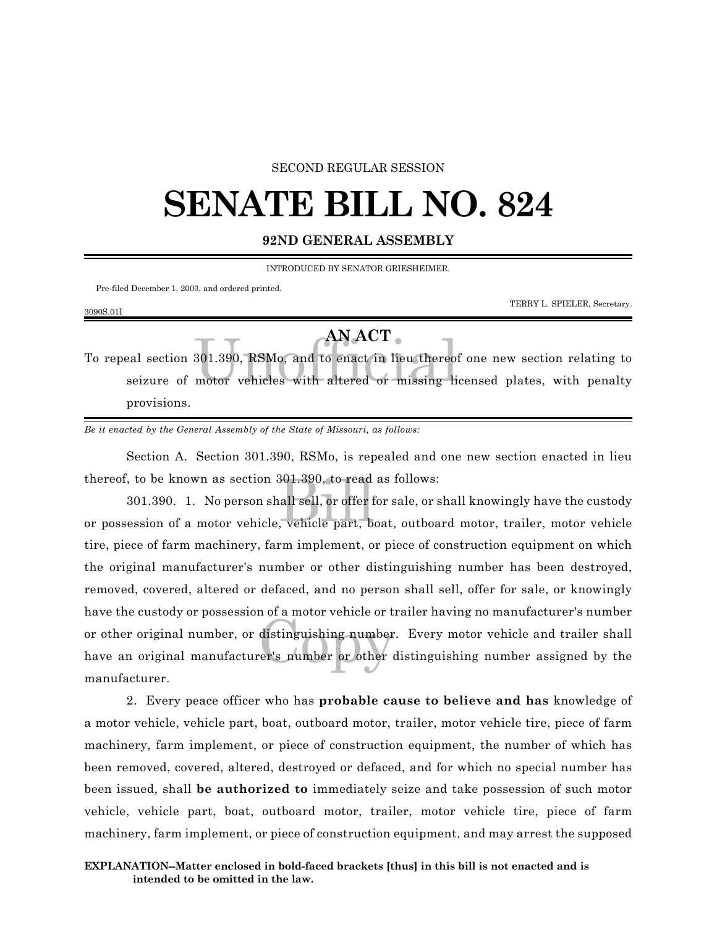## SECOND REGULAR SESSION

## **SENATE BILL NO. 824**

## **92ND GENERAL ASSEMBLY**

INTRODUCED BY SENATOR GRIESHEIMER.

Pre-filed December 1, 2003, and ordered printed.

3090S.01I

TERRY L. SPIELER, Secretary.

## **AN ACT**

AN ACT 8001.390, RSMo, and to enact in lieu thereor<br>motor vehicles with altered or missing lieu To repeal section 301.390, RSMo, and to enact in lieu thereof one new section relating to seizure of motor vehicles with altered or missing licensed plates, with penalty provisions.

*Be it enacted by the General Assembly of the State of Missouri, as follows:*

Section A. Section 301.390, RSMo, is repealed and one new section enacted in lieu thereof, to be known as section 301.390, to read as follows:

301.390, to read<br>|all sell, or offer f<br>, vehicle part, b distinguishing number<br>er's number or other 301.390. 1. No person shall sell, or offer for sale, or shall knowingly have the custody or possession of a motor vehicle, vehicle part, boat, outboard motor, trailer, motor vehicle tire, piece of farm machinery, farm implement, or piece of construction equipment on which the original manufacturer's number or other distinguishing number has been destroyed, removed, covered, altered or defaced, and no person shall sell, offer for sale, or knowingly have the custody or possession of a motor vehicle or trailer having no manufacturer's number or other original number, or distinguishing number. Every motor vehicle and trailer shall have an original manufacturer's number or other distinguishing number assigned by the manufacturer.

2. Every peace officer who has **probable cause to believe and has** knowledge of a motor vehicle, vehicle part, boat, outboard motor, trailer, motor vehicle tire, piece of farm machinery, farm implement, or piece of construction equipment, the number of which has been removed, covered, altered, destroyed or defaced, and for which no special number has been issued, shall **be authorized to** immediately seize and take possession of such motor vehicle, vehicle part, boat, outboard motor, trailer, motor vehicle tire, piece of farm machinery, farm implement, or piece of construction equipment, and may arrest the supposed